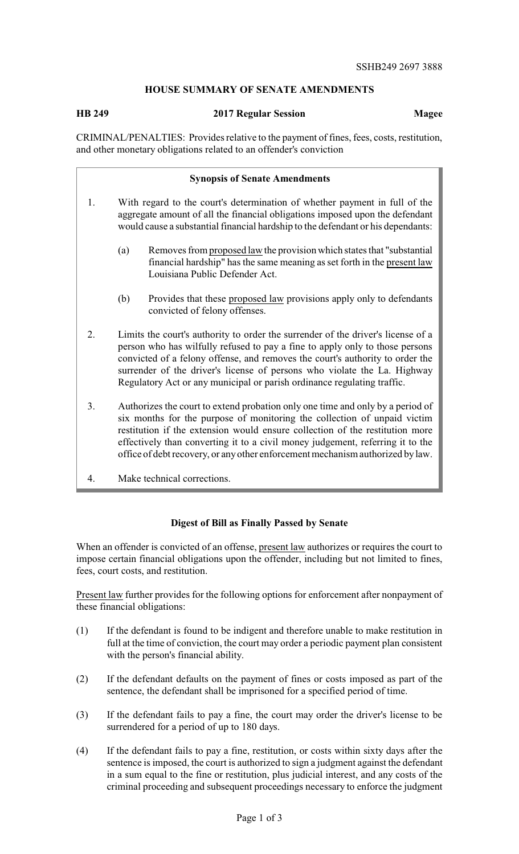## **HOUSE SUMMARY OF SENATE AMENDMENTS**

## **HB 249 2017 Regular Session Magee**

CRIMINAL/PENALTIES: Provides relative to the payment of fines, fees, costs, restitution, and other monetary obligations related to an offender's conviction

|    | <b>Synopsis of Senate Amendments</b>                                                                                                                                                                                                                                                                                                                                                                           |
|----|----------------------------------------------------------------------------------------------------------------------------------------------------------------------------------------------------------------------------------------------------------------------------------------------------------------------------------------------------------------------------------------------------------------|
| 1. | With regard to the court's determination of whether payment in full of the<br>aggregate amount of all the financial obligations imposed upon the defendant<br>would cause a substantial financial hardship to the defendant or his dependants:                                                                                                                                                                 |
|    | Removes from proposed law the provision which states that "substantial"<br>(a)<br>financial hardship" has the same meaning as set forth in the present law<br>Louisiana Public Defender Act.                                                                                                                                                                                                                   |
|    | (b)<br>Provides that these proposed law provisions apply only to defendants<br>convicted of felony offenses.                                                                                                                                                                                                                                                                                                   |
| 2. | Limits the court's authority to order the surrender of the driver's license of a<br>person who has wilfully refused to pay a fine to apply only to those persons<br>convicted of a felony offense, and removes the court's authority to order the<br>surrender of the driver's license of persons who violate the La. Highway<br>Regulatory Act or any municipal or parish ordinance regulating traffic.       |
| 3. | Authorizes the court to extend probation only one time and only by a period of<br>six months for the purpose of monitoring the collection of unpaid victim<br>restitution if the extension would ensure collection of the restitution more<br>effectively than converting it to a civil money judgement, referring it to the<br>office of debt recovery, or any other enforcement mechanism authorized by law. |
| 4. | Make technical corrections.                                                                                                                                                                                                                                                                                                                                                                                    |

## **Digest of Bill as Finally Passed by Senate**

When an offender is convicted of an offense, present law authorizes or requires the court to impose certain financial obligations upon the offender, including but not limited to fines, fees, court costs, and restitution.

Present law further provides for the following options for enforcement after nonpayment of these financial obligations:

- (1) If the defendant is found to be indigent and therefore unable to make restitution in full at the time of conviction, the court may order a periodic payment plan consistent with the person's financial ability.
- (2) If the defendant defaults on the payment of fines or costs imposed as part of the sentence, the defendant shall be imprisoned for a specified period of time.
- (3) If the defendant fails to pay a fine, the court may order the driver's license to be surrendered for a period of up to 180 days.
- (4) If the defendant fails to pay a fine, restitution, or costs within sixty days after the sentence is imposed, the court is authorized to sign a judgment against the defendant in a sum equal to the fine or restitution, plus judicial interest, and any costs of the criminal proceeding and subsequent proceedings necessary to enforce the judgment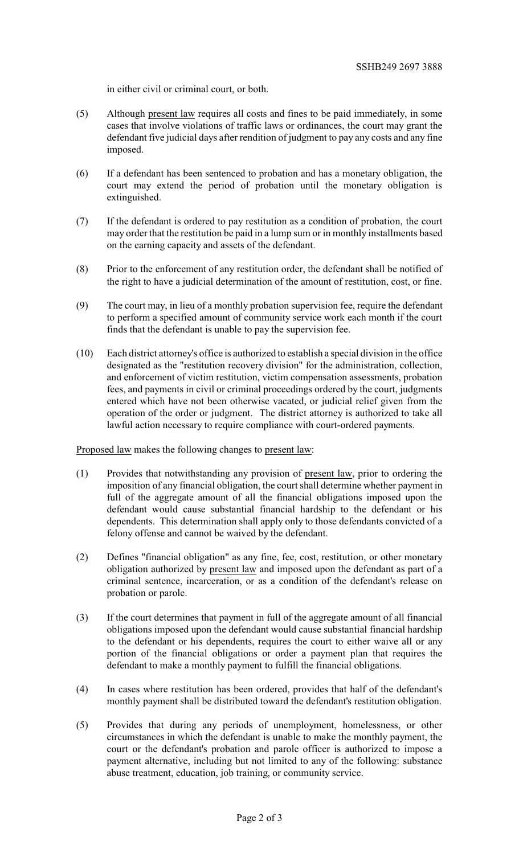in either civil or criminal court, or both.

- (5) Although present law requires all costs and fines to be paid immediately, in some cases that involve violations of traffic laws or ordinances, the court may grant the defendant five judicial days after rendition of judgment to pay any costs and any fine imposed.
- (6) If a defendant has been sentenced to probation and has a monetary obligation, the court may extend the period of probation until the monetary obligation is extinguished.
- (7) If the defendant is ordered to pay restitution as a condition of probation, the court may order that the restitution be paid in a lump sum or in monthly installments based on the earning capacity and assets of the defendant.
- (8) Prior to the enforcement of any restitution order, the defendant shall be notified of the right to have a judicial determination of the amount of restitution, cost, or fine.
- (9) The court may, in lieu of a monthly probation supervision fee, require the defendant to perform a specified amount of community service work each month if the court finds that the defendant is unable to pay the supervision fee.
- (10) Each district attorney's office is authorized to establish a special division in the office designated as the "restitution recovery division" for the administration, collection, and enforcement of victim restitution, victim compensation assessments, probation fees, and payments in civil or criminal proceedings ordered by the court, judgments entered which have not been otherwise vacated, or judicial relief given from the operation of the order or judgment. The district attorney is authorized to take all lawful action necessary to require compliance with court-ordered payments.

Proposed law makes the following changes to present law:

- (1) Provides that notwithstanding any provision of present law, prior to ordering the imposition of any financial obligation, the court shall determine whether payment in full of the aggregate amount of all the financial obligations imposed upon the defendant would cause substantial financial hardship to the defendant or his dependents. This determination shall apply only to those defendants convicted of a felony offense and cannot be waived by the defendant.
- (2) Defines "financial obligation" as any fine, fee, cost, restitution, or other monetary obligation authorized by present law and imposed upon the defendant as part of a criminal sentence, incarceration, or as a condition of the defendant's release on probation or parole.
- (3) If the court determines that payment in full of the aggregate amount of all financial obligations imposed upon the defendant would cause substantial financial hardship to the defendant or his dependents, requires the court to either waive all or any portion of the financial obligations or order a payment plan that requires the defendant to make a monthly payment to fulfill the financial obligations.
- (4) In cases where restitution has been ordered, provides that half of the defendant's monthly payment shall be distributed toward the defendant's restitution obligation.
- (5) Provides that during any periods of unemployment, homelessness, or other circumstances in which the defendant is unable to make the monthly payment, the court or the defendant's probation and parole officer is authorized to impose a payment alternative, including but not limited to any of the following: substance abuse treatment, education, job training, or community service.